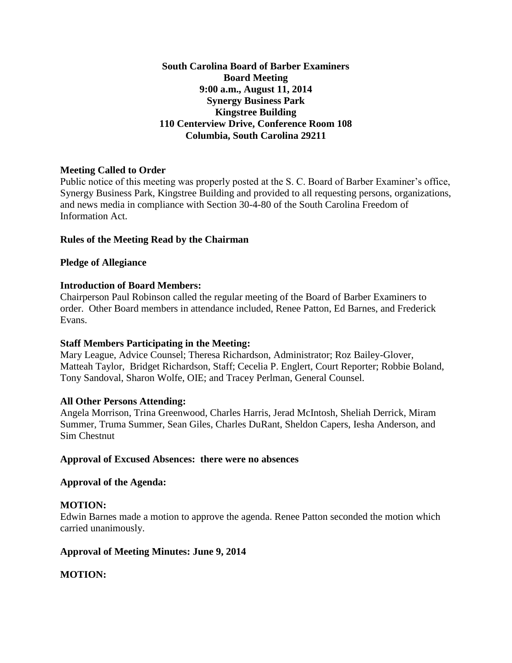## **South Carolina Board of Barber Examiners Board Meeting 9:00 a.m., August 11, 2014 Synergy Business Park Kingstree Building 110 Centerview Drive, Conference Room 108 Columbia, South Carolina 29211**

# **Meeting Called to Order**

Public notice of this meeting was properly posted at the S. C. Board of Barber Examiner's office, Synergy Business Park, Kingstree Building and provided to all requesting persons, organizations, and news media in compliance with Section 30-4-80 of the South Carolina Freedom of Information Act.

## **Rules of the Meeting Read by the Chairman**

## **Pledge of Allegiance**

## **Introduction of Board Members:**

Chairperson Paul Robinson called the regular meeting of the Board of Barber Examiners to order. Other Board members in attendance included, Renee Patton, Ed Barnes, and Frederick Evans.

### **Staff Members Participating in the Meeting:**

Mary League, Advice Counsel; Theresa Richardson, Administrator; Roz Bailey-Glover, Matteah Taylor, Bridget Richardson, Staff; Cecelia P. Englert, Court Reporter; Robbie Boland, Tony Sandoval, Sharon Wolfe, OIE; and Tracey Perlman, General Counsel.

### **All Other Persons Attending:**

Angela Morrison, Trina Greenwood, Charles Harris, Jerad McIntosh, Sheliah Derrick, Miram Summer, Truma Summer, Sean Giles, Charles DuRant, Sheldon Capers, Iesha Anderson, and Sim Chestnut

### **Approval of Excused Absences: there were no absences**

### **Approval of the Agenda:**

### **MOTION:**

Edwin Barnes made a motion to approve the agenda. Renee Patton seconded the motion which carried unanimously.

### **Approval of Meeting Minutes: June 9, 2014**

# **MOTION:**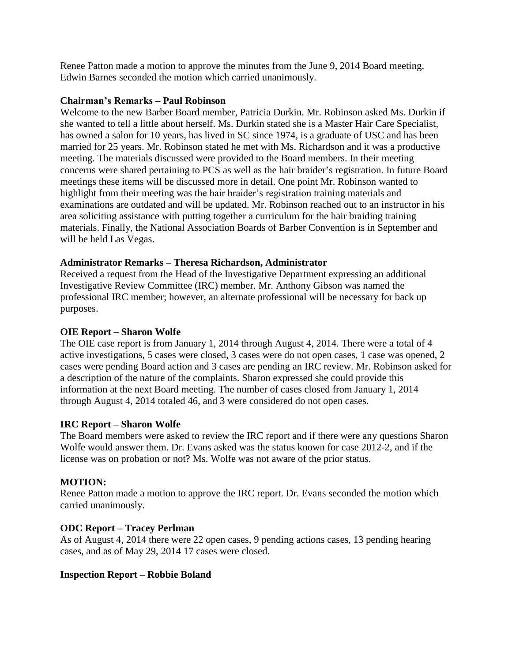Renee Patton made a motion to approve the minutes from the June 9, 2014 Board meeting. Edwin Barnes seconded the motion which carried unanimously.

### **Chairman's Remarks – Paul Robinson**

Welcome to the new Barber Board member, Patricia Durkin. Mr. Robinson asked Ms. Durkin if she wanted to tell a little about herself. Ms. Durkin stated she is a Master Hair Care Specialist, has owned a salon for 10 years, has lived in SC since 1974, is a graduate of USC and has been married for 25 years. Mr. Robinson stated he met with Ms. Richardson and it was a productive meeting. The materials discussed were provided to the Board members. In their meeting concerns were shared pertaining to PCS as well as the hair braider's registration. In future Board meetings these items will be discussed more in detail. One point Mr. Robinson wanted to highlight from their meeting was the hair braider's registration training materials and examinations are outdated and will be updated. Mr. Robinson reached out to an instructor in his area soliciting assistance with putting together a curriculum for the hair braiding training materials. Finally, the National Association Boards of Barber Convention is in September and will be held Las Vegas.

## **Administrator Remarks – Theresa Richardson, Administrator**

Received a request from the Head of the Investigative Department expressing an additional Investigative Review Committee (IRC) member. Mr. Anthony Gibson was named the professional IRC member; however, an alternate professional will be necessary for back up purposes.

### **OIE Report – Sharon Wolfe**

The OIE case report is from January 1, 2014 through August 4, 2014. There were a total of 4 active investigations, 5 cases were closed, 3 cases were do not open cases, 1 case was opened, 2 cases were pending Board action and 3 cases are pending an IRC review. Mr. Robinson asked for a description of the nature of the complaints. Sharon expressed she could provide this information at the next Board meeting. The number of cases closed from January 1, 2014 through August 4, 2014 totaled 46, and 3 were considered do not open cases.

### **IRC Report – Sharon Wolfe**

The Board members were asked to review the IRC report and if there were any questions Sharon Wolfe would answer them. Dr. Evans asked was the status known for case 2012-2, and if the license was on probation or not? Ms. Wolfe was not aware of the prior status.

### **MOTION:**

Renee Patton made a motion to approve the IRC report. Dr. Evans seconded the motion which carried unanimously.

### **ODC Report – Tracey Perlman**

As of August 4, 2014 there were 22 open cases, 9 pending actions cases, 13 pending hearing cases, and as of May 29, 2014 17 cases were closed.

### **Inspection Report – Robbie Boland**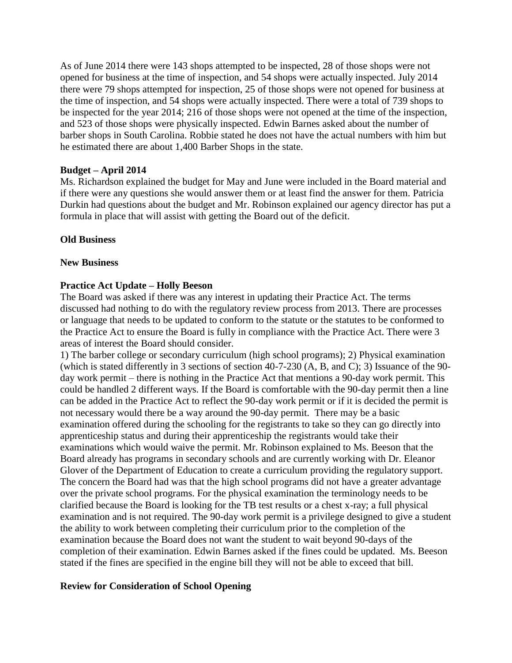As of June 2014 there were 143 shops attempted to be inspected, 28 of those shops were not opened for business at the time of inspection, and 54 shops were actually inspected. July 2014 there were 79 shops attempted for inspection, 25 of those shops were not opened for business at the time of inspection, and 54 shops were actually inspected. There were a total of 739 shops to be inspected for the year 2014; 216 of those shops were not opened at the time of the inspection, and 523 of those shops were physically inspected. Edwin Barnes asked about the number of barber shops in South Carolina. Robbie stated he does not have the actual numbers with him but he estimated there are about 1,400 Barber Shops in the state.

### **Budget – April 2014**

Ms. Richardson explained the budget for May and June were included in the Board material and if there were any questions she would answer them or at least find the answer for them. Patricia Durkin had questions about the budget and Mr. Robinson explained our agency director has put a formula in place that will assist with getting the Board out of the deficit.

#### **Old Business**

#### **New Business**

### **Practice Act Update – Holly Beeson**

The Board was asked if there was any interest in updating their Practice Act. The terms discussed had nothing to do with the regulatory review process from 2013. There are processes or language that needs to be updated to conform to the statute or the statutes to be conformed to the Practice Act to ensure the Board is fully in compliance with the Practice Act. There were 3 areas of interest the Board should consider.

1) The barber college or secondary curriculum (high school programs); 2) Physical examination (which is stated differently in 3 sections of section 40-7-230 (A, B, and C); 3) Issuance of the 90 day work permit – there is nothing in the Practice Act that mentions a 90-day work permit. This could be handled 2 different ways. If the Board is comfortable with the 90-day permit then a line can be added in the Practice Act to reflect the 90-day work permit or if it is decided the permit is not necessary would there be a way around the 90-day permit. There may be a basic examination offered during the schooling for the registrants to take so they can go directly into apprenticeship status and during their apprenticeship the registrants would take their examinations which would waive the permit. Mr. Robinson explained to Ms. Beeson that the Board already has programs in secondary schools and are currently working with Dr. Eleanor Glover of the Department of Education to create a curriculum providing the regulatory support. The concern the Board had was that the high school programs did not have a greater advantage over the private school programs. For the physical examination the terminology needs to be clarified because the Board is looking for the TB test results or a chest x-ray; a full physical examination and is not required. The 90-day work permit is a privilege designed to give a student the ability to work between completing their curriculum prior to the completion of the examination because the Board does not want the student to wait beyond 90-days of the completion of their examination. Edwin Barnes asked if the fines could be updated. Ms. Beeson stated if the fines are specified in the engine bill they will not be able to exceed that bill.

### **Review for Consideration of School Opening**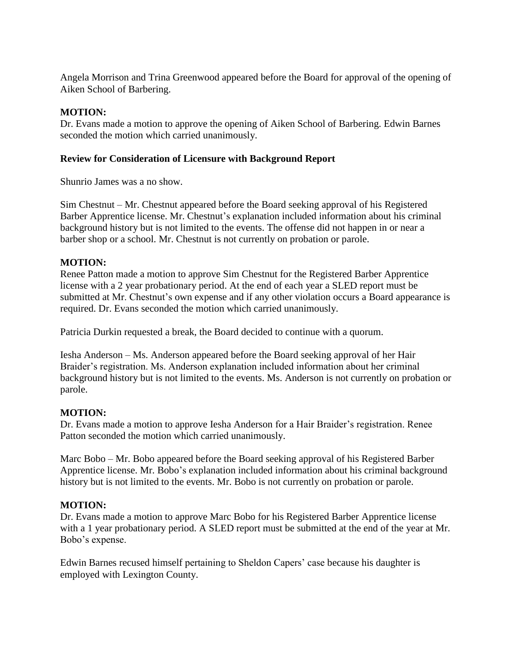Angela Morrison and Trina Greenwood appeared before the Board for approval of the opening of Aiken School of Barbering.

# **MOTION:**

Dr. Evans made a motion to approve the opening of Aiken School of Barbering. Edwin Barnes seconded the motion which carried unanimously.

## **Review for Consideration of Licensure with Background Report**

Shunrio James was a no show.

Sim Chestnut – Mr. Chestnut appeared before the Board seeking approval of his Registered Barber Apprentice license. Mr. Chestnut's explanation included information about his criminal background history but is not limited to the events. The offense did not happen in or near a barber shop or a school. Mr. Chestnut is not currently on probation or parole.

# **MOTION:**

Renee Patton made a motion to approve Sim Chestnut for the Registered Barber Apprentice license with a 2 year probationary period. At the end of each year a SLED report must be submitted at Mr. Chestnut's own expense and if any other violation occurs a Board appearance is required. Dr. Evans seconded the motion which carried unanimously.

Patricia Durkin requested a break, the Board decided to continue with a quorum.

Iesha Anderson – Ms. Anderson appeared before the Board seeking approval of her Hair Braider's registration. Ms. Anderson explanation included information about her criminal background history but is not limited to the events. Ms. Anderson is not currently on probation or parole.

# **MOTION:**

Dr. Evans made a motion to approve Iesha Anderson for a Hair Braider's registration. Renee Patton seconded the motion which carried unanimously.

Marc Bobo – Mr. Bobo appeared before the Board seeking approval of his Registered Barber Apprentice license. Mr. Bobo's explanation included information about his criminal background history but is not limited to the events. Mr. Bobo is not currently on probation or parole.

# **MOTION:**

Dr. Evans made a motion to approve Marc Bobo for his Registered Barber Apprentice license with a 1 year probationary period. A SLED report must be submitted at the end of the year at Mr. Bobo's expense.

Edwin Barnes recused himself pertaining to Sheldon Capers' case because his daughter is employed with Lexington County.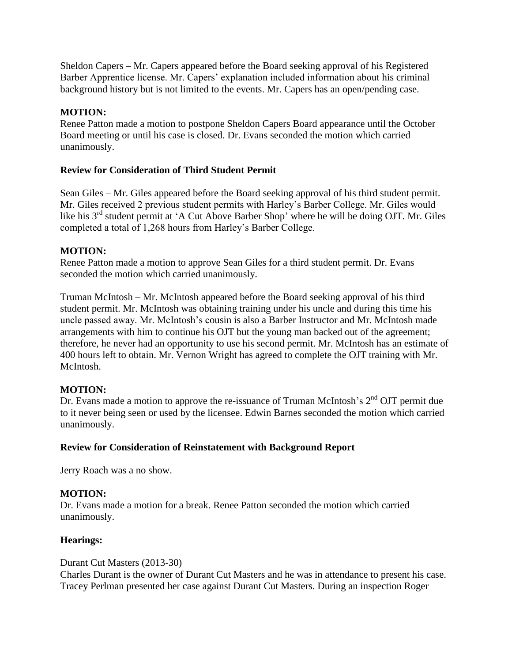Sheldon Capers – Mr. Capers appeared before the Board seeking approval of his Registered Barber Apprentice license. Mr. Capers' explanation included information about his criminal background history but is not limited to the events. Mr. Capers has an open/pending case.

# **MOTION:**

Renee Patton made a motion to postpone Sheldon Capers Board appearance until the October Board meeting or until his case is closed. Dr. Evans seconded the motion which carried unanimously.

# **Review for Consideration of Third Student Permit**

Sean Giles – Mr. Giles appeared before the Board seeking approval of his third student permit. Mr. Giles received 2 previous student permits with Harley's Barber College. Mr. Giles would like his  $3<sup>rd</sup>$  student permit at 'A Cut Above Barber Shop' where he will be doing OJT. Mr. Giles completed a total of 1,268 hours from Harley's Barber College.

## **MOTION:**

Renee Patton made a motion to approve Sean Giles for a third student permit. Dr. Evans seconded the motion which carried unanimously.

Truman McIntosh – Mr. McIntosh appeared before the Board seeking approval of his third student permit. Mr. McIntosh was obtaining training under his uncle and during this time his uncle passed away. Mr. McIntosh's cousin is also a Barber Instructor and Mr. McIntosh made arrangements with him to continue his OJT but the young man backed out of the agreement; therefore, he never had an opportunity to use his second permit. Mr. McIntosh has an estimate of 400 hours left to obtain. Mr. Vernon Wright has agreed to complete the OJT training with Mr. McIntosh.

### **MOTION:**

Dr. Evans made a motion to approve the re-issuance of Truman McIntosh's  $2<sup>nd</sup>$  OJT permit due to it never being seen or used by the licensee. Edwin Barnes seconded the motion which carried unanimously.

### **Review for Consideration of Reinstatement with Background Report**

Jerry Roach was a no show.

### **MOTION:**

Dr. Evans made a motion for a break. Renee Patton seconded the motion which carried unanimously.

### **Hearings:**

### Durant Cut Masters (2013-30)

Charles Durant is the owner of Durant Cut Masters and he was in attendance to present his case. Tracey Perlman presented her case against Durant Cut Masters. During an inspection Roger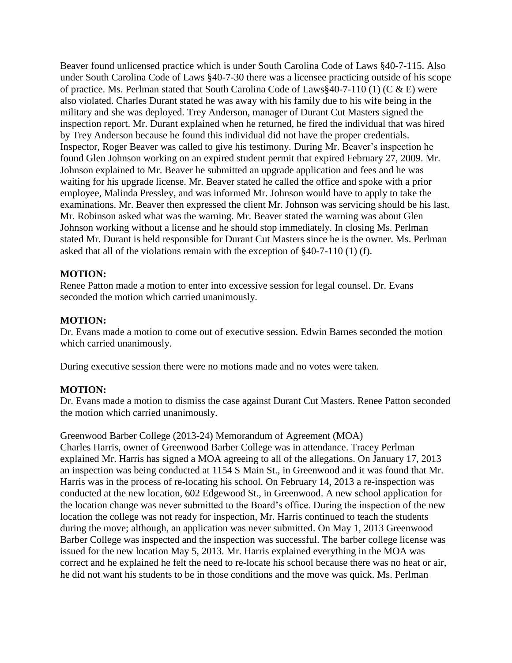Beaver found unlicensed practice which is under South Carolina Code of Laws §40-7-115. Also under South Carolina Code of Laws §40-7-30 there was a licensee practicing outside of his scope of practice. Ms. Perlman stated that South Carolina Code of Laws§40-7-110 (1) (C & E) were also violated. Charles Durant stated he was away with his family due to his wife being in the military and she was deployed. Trey Anderson, manager of Durant Cut Masters signed the inspection report. Mr. Durant explained when he returned, he fired the individual that was hired by Trey Anderson because he found this individual did not have the proper credentials. Inspector, Roger Beaver was called to give his testimony. During Mr. Beaver's inspection he found Glen Johnson working on an expired student permit that expired February 27, 2009. Mr. Johnson explained to Mr. Beaver he submitted an upgrade application and fees and he was waiting for his upgrade license. Mr. Beaver stated he called the office and spoke with a prior employee, Malinda Pressley, and was informed Mr. Johnson would have to apply to take the examinations. Mr. Beaver then expressed the client Mr. Johnson was servicing should be his last. Mr. Robinson asked what was the warning. Mr. Beaver stated the warning was about Glen Johnson working without a license and he should stop immediately. In closing Ms. Perlman stated Mr. Durant is held responsible for Durant Cut Masters since he is the owner. Ms. Perlman asked that all of the violations remain with the exception of §40-7-110 (1) (f).

# **MOTION:**

Renee Patton made a motion to enter into excessive session for legal counsel. Dr. Evans seconded the motion which carried unanimously.

### **MOTION:**

Dr. Evans made a motion to come out of executive session. Edwin Barnes seconded the motion which carried unanimously.

During executive session there were no motions made and no votes were taken.

### **MOTION:**

Dr. Evans made a motion to dismiss the case against Durant Cut Masters. Renee Patton seconded the motion which carried unanimously.

Greenwood Barber College (2013-24) Memorandum of Agreement (MOA) Charles Harris, owner of Greenwood Barber College was in attendance. Tracey Perlman explained Mr. Harris has signed a MOA agreeing to all of the allegations. On January 17, 2013 an inspection was being conducted at 1154 S Main St., in Greenwood and it was found that Mr. Harris was in the process of re-locating his school. On February 14, 2013 a re-inspection was conducted at the new location, 602 Edgewood St., in Greenwood. A new school application for the location change was never submitted to the Board's office. During the inspection of the new location the college was not ready for inspection, Mr. Harris continued to teach the students during the move; although, an application was never submitted. On May 1, 2013 Greenwood Barber College was inspected and the inspection was successful. The barber college license was issued for the new location May 5, 2013. Mr. Harris explained everything in the MOA was correct and he explained he felt the need to re-locate his school because there was no heat or air, he did not want his students to be in those conditions and the move was quick. Ms. Perlman